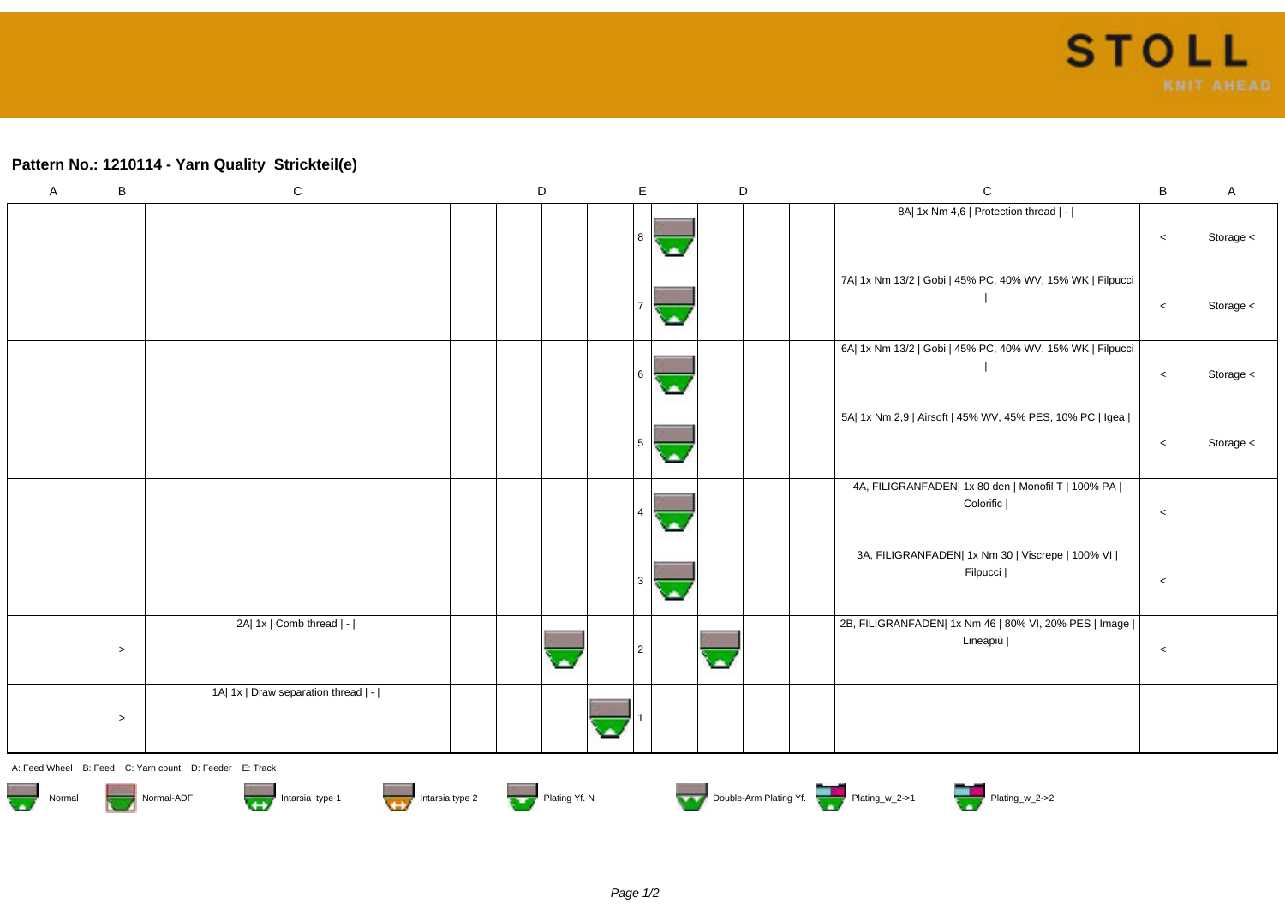## **Pattern No.: 1210114 - Yarn Quality Strickteil(e)**

| A | $\, {\bf B}$ | $\mathbf C$                         | $\mathsf D$ | $\mathsf E$    |    | D | $\mathbf C$                                                         | $\sf B$ | $\mathsf{A}$ |
|---|--------------|-------------------------------------|-------------|----------------|----|---|---------------------------------------------------------------------|---------|--------------|
|   |              |                                     |             | 8              |    |   | 8A  1x Nm 4,6   Protection thread   -                               | $\,<$   | Storage <    |
|   |              |                                     |             |                |    |   | 7A  1x Nm 13/2   Gobi   45% PC, 40% WV, 15% WK   Filpucci           | $\,<$   | Storage <    |
|   |              |                                     |             | 6              | ×. |   | 6A  1x Nm 13/2   Gobi   45% PC, 40% WV, 15% WK   Filpucci           | $\,<$   | Storage <    |
|   |              |                                     |             |                |    |   | 5A  1x Nm 2,9   Airsoft   45% WV, 45% PES, 10% PC   Igea            | $\,<$   | Storage <    |
|   |              |                                     |             | 4              |    |   | 4A, FILIGRANFADEN  1x 80 den   Monofil T   100% PA  <br>Colorific   | $\,<$   |              |
|   |              |                                     |             |                |    |   | 3A, FILIGRANFADEN  1x Nm 30   Viscrepe   100% VI  <br>Filpucci      | $\,<$   |              |
|   | $\,>$        | 2A  1x   Comb thread   -            | alla        | $\overline{2}$ |    | Ø | 2B, FILIGRANFADEN  1x Nm 46   80% VI, 20% PES   Image  <br>Lineapiù | $\,<$   |              |
|   | $\geq$       | 1A  1x   Draw separation thread   - |             |                |    |   |                                                                     |         |              |
|   |              | $\sim$ $\sim$                       |             |                |    |   |                                                                     |         |              |

A: Feed Wheel B: Feed C: Yarn count D: Feeder E: Track